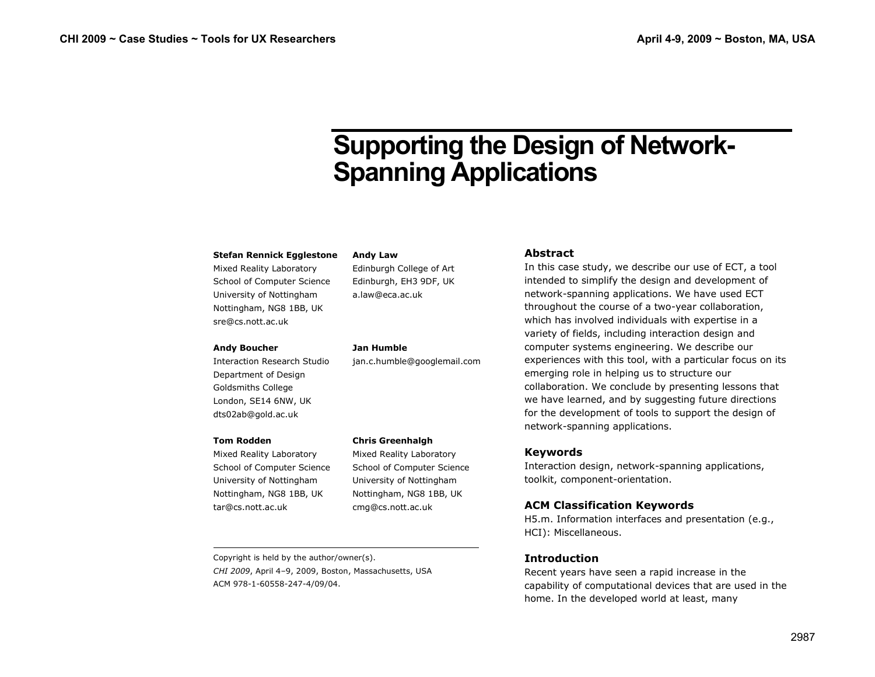# **Supporting the Design of Network-Spanning Applications**

#### **Stefan Rennick Egglestone**

Mixed Reality Laboratory School of Computer Science University of Nottingham Nottingham, NG8 1BB, UK sre@cs.nott.ac.uk

#### **Andy Boucher**

Interaction Research Studio Department of Design Goldsmiths College London, SE14 6NW, UK dts02ab@gold.ac.uk

#### **Tom Rodden**

Mixed Reality Laboratory School of Computer Science University of Nottingham Nottingham, NG8 1BB, UK tar@cs.nott.ac.uk

Copyright is held by the author/owner(s). *CHI 2009*, April 4–9, 2009, Boston, Massachusetts, USA ACM 978-1-60558-247-4/09/04.

### **Andy Law**

Edinburgh College of Art Edinburgh, EH3 9DF, UK a.law@eca.ac.uk

**Jan Humble** jan.c.humble@googlemail.com

## **Chris Greenhalgh**

Mixed Reality Laboratory School of Computer Science University of Nottingham Nottingham, NG8 1BB, UK cmg@cs.nott.ac.uk

## **Abstract**

In this case study, we describe our use of ECT, a tool intended to simplify the design and development of network-spanning applications. We have used ECT throughout the course of a two-year collaboration, which has involved individuals with expertise in a variety of fields, including interaction design and computer systems engineering. We describe our experiences with this tool, with a particular focus on its emerging role in helping us to structure our collaboration. We conclude by presenting lessons that we have learned, and by suggesting future directions for the development of tools to support the design of network-spanning applications.

## **Keywords**

Interaction design, network-spanning applications, toolkit, component-orientation.

## **ACM Classification Keywords**

H5.m. Information interfaces and presentation (e.g., HCI): Miscellaneous.

## **Introduction**

Recent years have seen a rapid increase in the capability of computational devices that are used in the home. In the developed world at least, many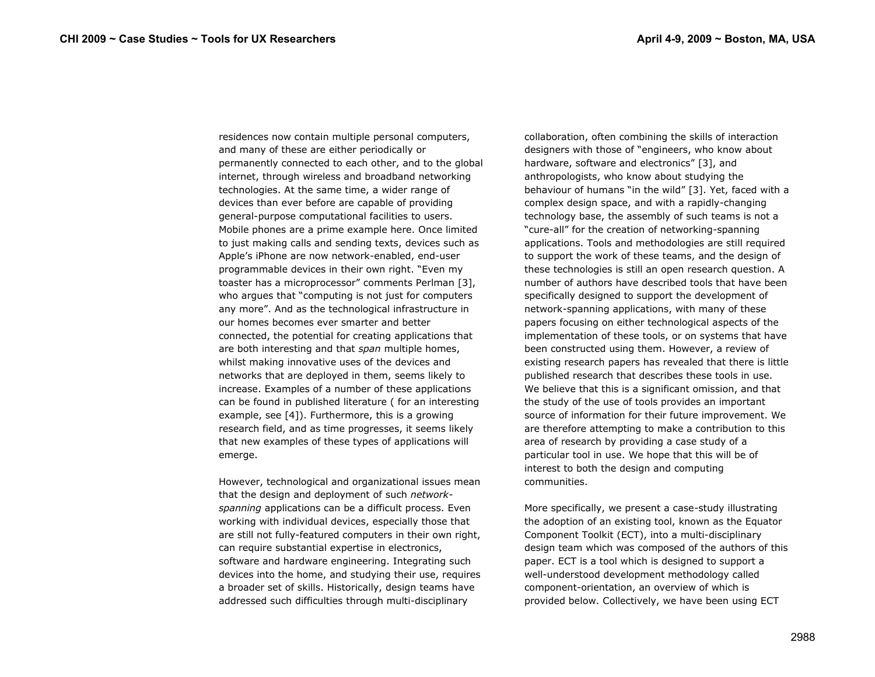residences now contain multiple personal computers, and many of these are either periodically or permanently connected to each other, and to the global internet, through wireless and broadband networking technologies. At the same time, a wider range of devices than ever before are capable of providing general-purpose computational facilities to users. Mobile phones are a prime example here. Once limited to just making calls and sending texts, devices such as Apple's iPhone are now network-enabled, end-user programmable devices in their own right. "Even my toaster has a microprocessor" comments Perlman [3], who argues that "computing is not just for computers any more". And as the technological infrastructure in our homes becomes ever smarter and better connected, the potential for creating applications that are both interesting and that *span* multiple homes, whilst making innovative uses of the devices and networks that are deployed in them, seems likely to increase. Examples of a number of these applications can be found in published literature ( for an interesting example, see [4]). Furthermore, this is a growing research field, and as time progresses, it seems likely that new examples of these types of applications will emerge.

However, technological and organizational issues mean that the design and deployment of such *networkspanning* applications can be a difficult process. Even working with individual devices, especially those that are still not fully-featured computers in their own right, can require substantial expertise in electronics, software and hardware engineering. Integrating such devices into the home, and studying their use, requires a broader set of skills. Historically, design teams have addressed such difficulties through multi-disciplinary

collaboration, often combining the skills of interaction designers with those of "engineers, who know about hardware, software and electronics" [3], and anthropologists, who know about studying the behaviour of humans "in the wild" [3]. Yet, faced with a complex design space, and with a rapidly-changing technology base, the assembly of such teams is not a "cure-all" for the creation of networking-spanning applications. Tools and methodologies are still required to support the work of these teams, and the design of these technologies is still an open research question. A number of authors have described tools that have been specifically designed to support the development of network-spanning applications, with many of these papers focusing on either technological aspects of the implementation of these tools, or on systems that have been constructed using them. However, a review of existing research papers has revealed that there is little published research that describes these tools in use. We believe that this is a significant omission, and that the study of the use of tools provides an important source of information for their future improvement. We are therefore attempting to make a contribution to this area of research by providing a case study of a particular tool in use. We hope that this will be of interest to both the design and computing communities.

More specifically, we present a case-study illustrating the adoption of an existing tool, known as the Equator Component Toolkit (ECT), into a multi-disciplinary design team which was composed of the authors of this paper. ECT is a tool which is designed to support a well-understood development methodology called component-orientation, an overview of which is provided below. Collectively, we have been using ECT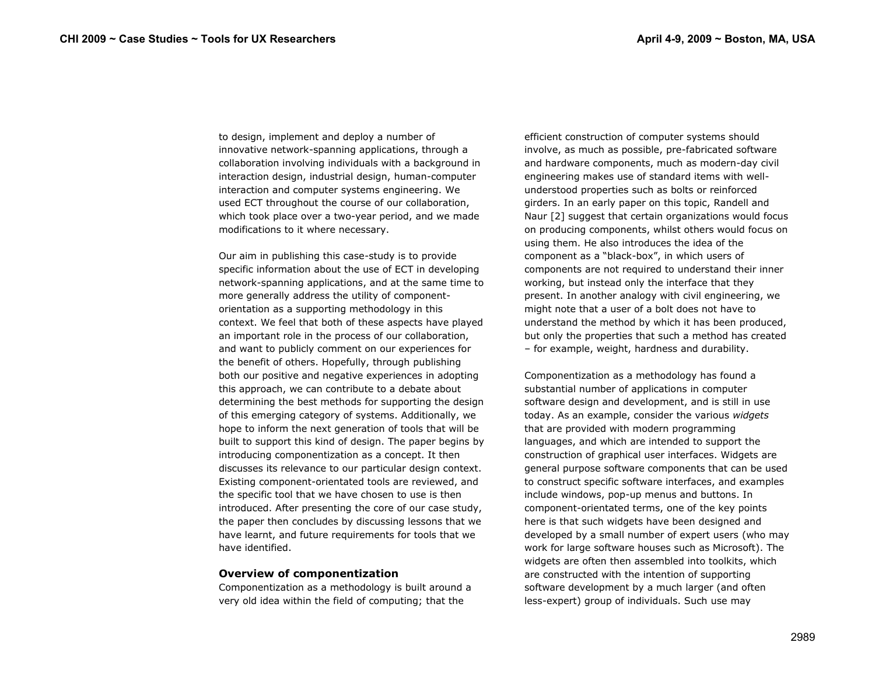to design, implement and deploy a number of innovative network-spanning applications, through a collaboration involving individuals with a background in interaction design, industrial design, human-computer interaction and computer systems engineering. We used ECT throughout the course of our collaboration, which took place over a two-year period, and we made modifications to it where necessary.

Our aim in publishing this case-study is to provide specific information about the use of ECT in developing network-spanning applications, and at the same time to more generally address the utility of componentorientation as a supporting methodology in this context. We feel that both of these aspects have played an important role in the process of our collaboration, and want to publicly comment on our experiences for the benefit of others. Hopefully, through publishing both our positive and negative experiences in adopting this approach, we can contribute to a debate about determining the best methods for supporting the design of this emerging category of systems. Additionally, we hope to inform the next generation of tools that will be built to support this kind of design. The paper begins by introducing componentization as a concept. It then discusses its relevance to our particular design context. Existing component-orientated tools are reviewed, and the specific tool that we have chosen to use is then introduced. After presenting the core of our case study, the paper then concludes by discussing lessons that we have learnt, and future requirements for tools that we have identified.

## **Overview of componentization**

Componentization as a methodology is built around a very old idea within the field of computing; that the

efficient construction of computer systems should involve, as much as possible, pre-fabricated software and hardware components, much as modern-day civil engineering makes use of standard items with wellunderstood properties such as bolts or reinforced girders. In an early paper on this topic, Randell and Naur [2] suggest that certain organizations would focus on producing components, whilst others would focus on using them. He also introduces the idea of the component as a "black-box", in which users of components are not required to understand their inner working, but instead only the interface that they present. In another analogy with civil engineering, we might note that a user of a bolt does not have to understand the method by which it has been produced, but only the properties that such a method has created – for example, weight, hardness and durability.

Componentization as a methodology has found a substantial number of applications in computer software design and development, and is still in use today. As an example, consider the various *widgets* that are provided with modern programming languages, and which are intended to support the construction of graphical user interfaces. Widgets are general purpose software components that can be used to construct specific software interfaces, and examples include windows, pop-up menus and buttons. In component-orientated terms, one of the key points here is that such widgets have been designed and developed by a small number of expert users (who may work for large software houses such as Microsoft). The widgets are often then assembled into toolkits, which are constructed with the intention of supporting software development by a much larger (and often less-expert) group of individuals. Such use may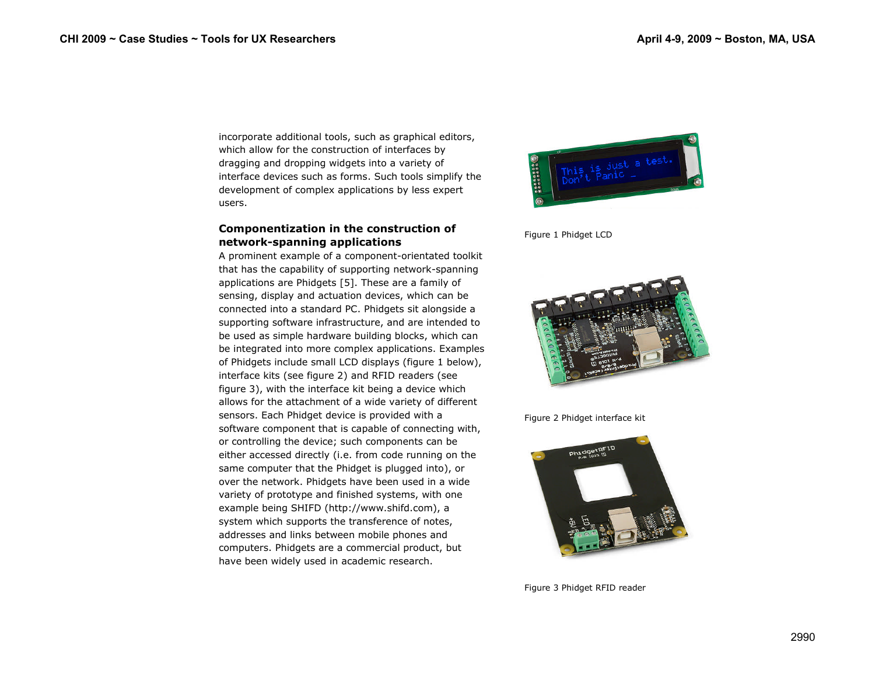incorporate additional tools, such as graphical editors, which allow for the construction of interfaces by dragging and dropping widgets into a variety of interface devices such as forms. Such tools simplify the development of complex applications by less expert users.

# **Componentization in the construction of network-spanning applications**

A prominent example of a component-orientated toolkit that has the capability of supporting network-spanning applications are Phidgets [5]. These are a family of sensing, display and actuation devices, which can be connected into a standard PC. Phidgets sit alongside a supporting software infrastructure, and are intended to be used as simple hardware building blocks, which can be integrated into more complex applications. Examples of Phidgets include small LCD displays (figure 1 below), interface kits (see figure 2) and RFID readers (see figure 3), with the interface kit being a device which allows for the attachment of a wide variety of different sensors. Each Phidget device is provided with a software component that is capable of connecting with, or controlling the device; such components can be either accessed directly (i.e. from code running on the same computer that the Phidget is plugged into), or over the network. Phidgets have been used in a wide variety of prototype and finished systems, with one example being SHIFD (http://www.shifd.com), a system which supports the transference of notes, addresses and links between mobile phones and computers. Phidgets are a commercial product, but have been widely used in academic research.



Figure 1 Phidget LCD







Figure 3 Phidget RFID reader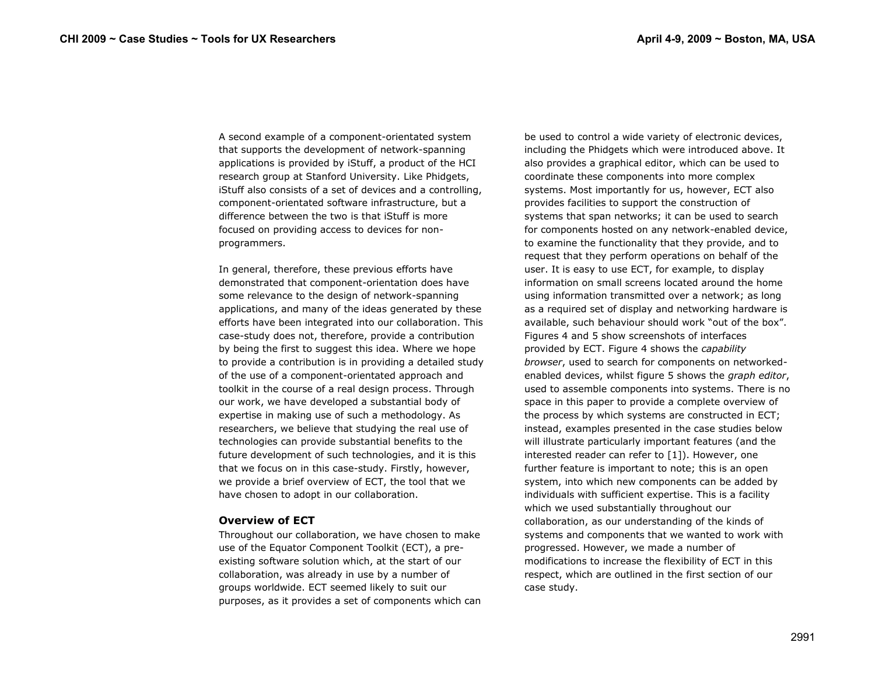A second example of a component-orientated system that supports the development of network-spanning applications is provided by iStuff, a product of the HCI research group at Stanford University. Like Phidgets, iStuff also consists of a set of devices and a controlling, component-orientated software infrastructure, but a difference between the two is that iStuff is more focused on providing access to devices for nonprogrammers.

In general, therefore, these previous efforts have demonstrated that component-orientation does have some relevance to the design of network-spanning applications, and many of the ideas generated by these efforts have been integrated into our collaboration. This case-study does not, therefore, provide a contribution by being the first to suggest this idea. Where we hope to provide a contribution is in providing a detailed study of the use of a component-orientated approach and toolkit in the course of a real design process. Through our work, we have developed a substantial body of expertise in making use of such a methodology. As researchers, we believe that studying the real use of technologies can provide substantial benefits to the future development of such technologies, and it is this that we focus on in this case-study. Firstly, however, we provide a brief overview of ECT, the tool that we have chosen to adopt in our collaboration.

## **Overview of ECT**

Throughout our collaboration, we have chosen to make use of the Equator Component Toolkit (ECT), a preexisting software solution which, at the start of our collaboration, was already in use by a number of groups worldwide. ECT seemed likely to suit our purposes, as it provides a set of components which can

be used to control a wide variety of electronic devices, including the Phidgets which were introduced above. It also provides a graphical editor, which can be used to coordinate these components into more complex systems. Most importantly for us, however, ECT also provides facilities to support the construction of systems that span networks; it can be used to search for components hosted on any network-enabled device, to examine the functionality that they provide, and to request that they perform operations on behalf of the user. It is easy to use ECT, for example, to display information on small screens located around the home using information transmitted over a network; as long as a required set of display and networking hardware is available, such behaviour should work "out of the box". Figures 4 and 5 show screenshots of interfaces provided by ECT. Figure 4 shows the *capability browser*, used to search for components on networkedenabled devices, whilst figure 5 shows the *graph editor*, used to assemble components into systems. There is no space in this paper to provide a complete overview of the process by which systems are constructed in ECT; instead, examples presented in the case studies below will illustrate particularly important features (and the interested reader can refer to [1]). However, one further feature is important to note; this is an open system, into which new components can be added by individuals with sufficient expertise. This is a facility which we used substantially throughout our collaboration, as our understanding of the kinds of systems and components that we wanted to work with progressed. However, we made a number of modifications to increase the flexibility of ECT in this respect, which are outlined in the first section of our case study.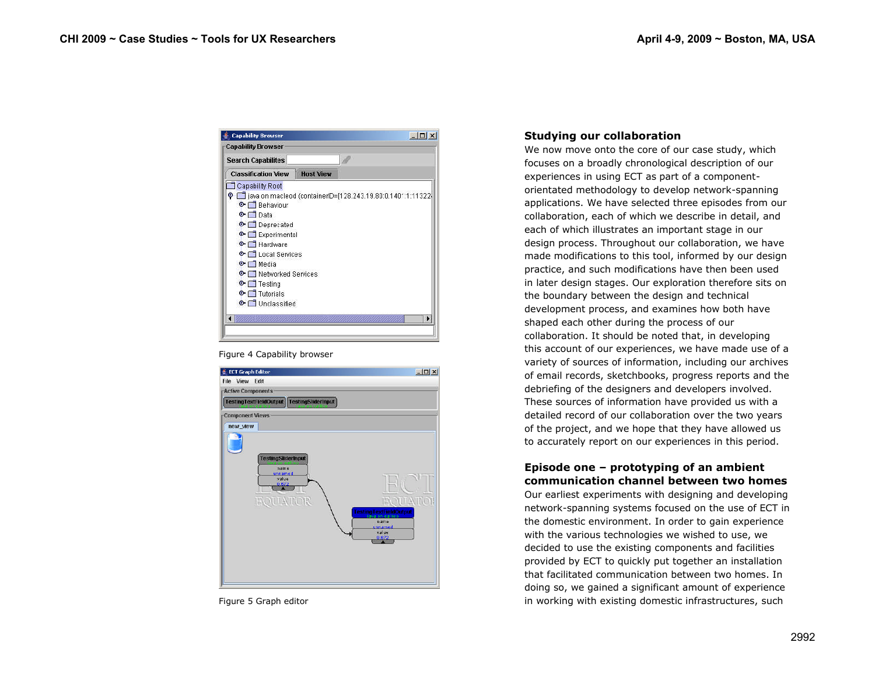

Figure 4 Capability browser



Figure 5 Graph editor

# **Studying our collaboration**

We now move onto the core of our case study, which focuses on a broadly chronological description of our experiences in using ECT as part of a component orientated methodology to develop network -spannin g applications. We have selected three episodes from our collaboration, each of which we describe in detail, and each of which illustrates an important stage in our design process. Throughout our collaboration, we have made modifications to this tool, informed by our design practice, and such modifications have then been used in later design stages. Our exploration therefore sits on the boundary between the design and technical development process, and examines how both have shaped each other during the process of our collaboration. It should be noted that, in developing this account of our experiences, we have made use of a variety of sources of information, including our archives of email records, sketchbooks, progress reports and the debriefing of the designers and developers involved. These sources of information have provided us with a detailed record of our collaboration over the two years of the project, and we hope that they have allowed us to accurately report on our experiences in this period.

# **Episode one – prototyping of an ambient communication channel between two homes**

Our earliest experiments with designing and developing network -spanning systems focused on the use of ECT in the domestic environment. In order to gain experience with the various technologies we wished to use, we decided to use the existing components and facilities provided by ECT to quickly put together an installation that facilitated communication between two homes. In doing so, we gained a significant amount of experience in working with existing domestic infrastructures, such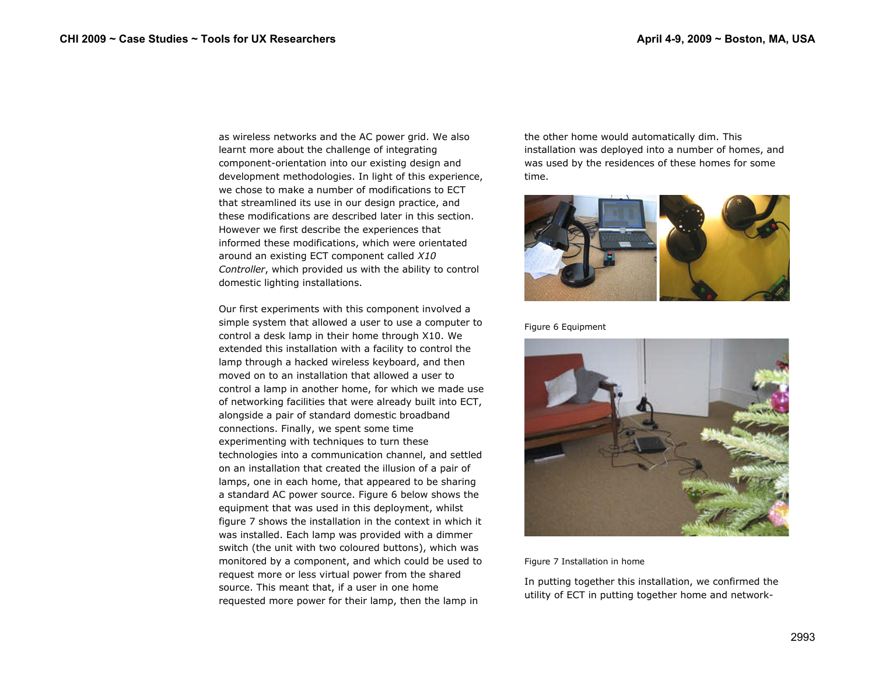as wireless networks and the AC power grid. We also learnt more about the challenge of integrating component-orientation into our existing design and development methodologies. In light of this experience, we chose to make a number of modifications to ECT that streamlined its use in our design practice, and these modifications are described later in this section. However we first describe the experiences that informed these modifications, which were orientated around an existing ECT component called *X10 Controller*, which provided us with the ability to control domestic lighting installations.

Our first experiments with this component involved a simple system that allowed a user to use a computer to control a desk lamp in their home through X10. We extended this installation with a facility to control the lamp through a hacked wireless keyboard, and then moved on to an installation that allowed a user to control a lamp in another home, for which we made use of networking facilities that were already built into ECT, alongside a pair of standard domestic broadband connections. Finally, we spent some time experimenting with techniques to turn these technologies into a communication channel, and settled on an installation that created the illusion of a pair of lamps, one in each home, that appeared to be sharing a standard AC power source. Figure 6 below shows the equipment that was used in this deployment, whilst figure 7 shows the installation in the context in which it was installed. Each lamp was provided with a dimmer switch (the unit with two coloured buttons), which was monitored by a component, and which could be used to request more or less virtual power from the shared source. This meant that, if a user in one home requested more power for their lamp, then the lamp in

the other home would automatically dim. This installation was deployed into a number of homes, and was used by the residences of these homes for some time.



Figure 6 Equipment



Figure 7 Installation in home

In putting together this installation, we confirmed the utility of ECT in putting together home and network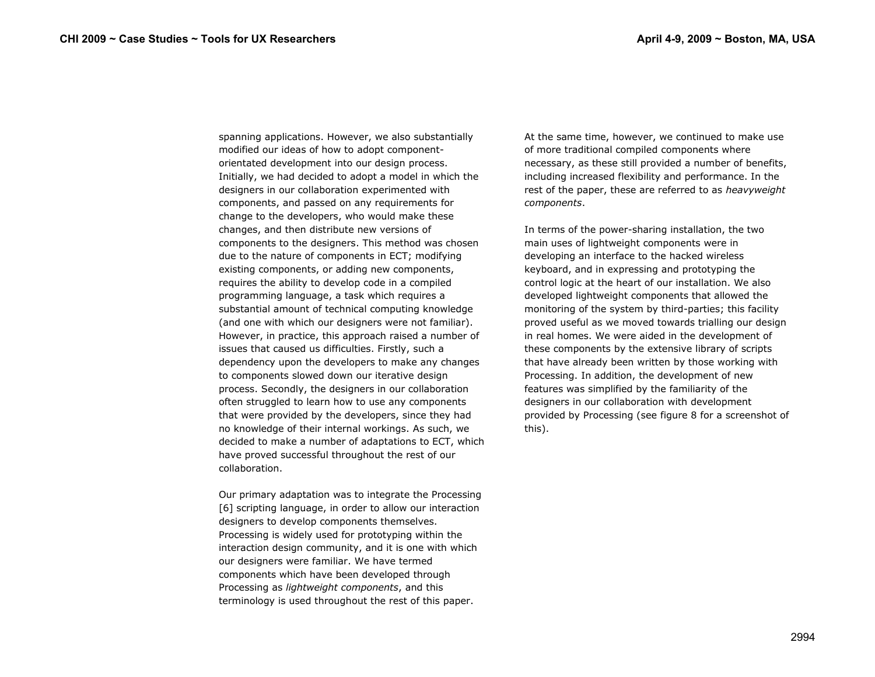spanning applications. However, we also substantially modified our ideas of how to adopt componentorientated development into our design process. Initially, we had decided to adopt a model in which the designers in our collaboration experimented with components, and passed on any requirements for change to the developers, who would make these changes, and then distribute new versions of components to the designers. This method was chosen due to the nature of components in ECT; modifying existing components, or adding new components, requires the ability to develop code in a compiled programming language, a task which requires a substantial amount of technical computing knowledge (and one with which our designers were not familiar). However, in practice, this approach raised a number of issues that caused us difficulties. Firstly, such a dependency upon the developers to make any changes to components slowed down our iterative design process. Secondly, the designers in our collaboration often struggled to learn how to use any components that were provided by the developers, since they had no knowledge of their internal workings. As such, we decided to make a number of adaptations to ECT, which have proved successful throughout the rest of our collaboration.

Our primary adaptation was to integrate the Processing [6] scripting language, in order to allow our interaction designers to develop components themselves. Processing is widely used for prototyping within the interaction design community, and it is one with which our designers were familiar. We have termed components which have been developed through Processing as *lightweight components*, and this terminology is used throughout the rest of this paper.

At the same time, however, we continued to make use of more traditional compiled components where necessary, as these still provided a number of benefits, including increased flexibility and performance. In the rest of the paper, these are referred to as *heavyweight components*.

In terms of the power-sharing installation, the two main uses of lightweight components were in developing an interface to the hacked wireless keyboard, and in expressing and prototyping the control logic at the heart of our installation. We also developed lightweight components that allowed the monitoring of the system by third-parties; this facility proved useful as we moved towards trialling our design in real homes. We were aided in the development of these components by the extensive library of scripts that have already been written by those working with Processing. In addition, the development of new features was simplified by the familiarity of the designers in our collaboration with development provided by Processing (see figure 8 for a screenshot of this).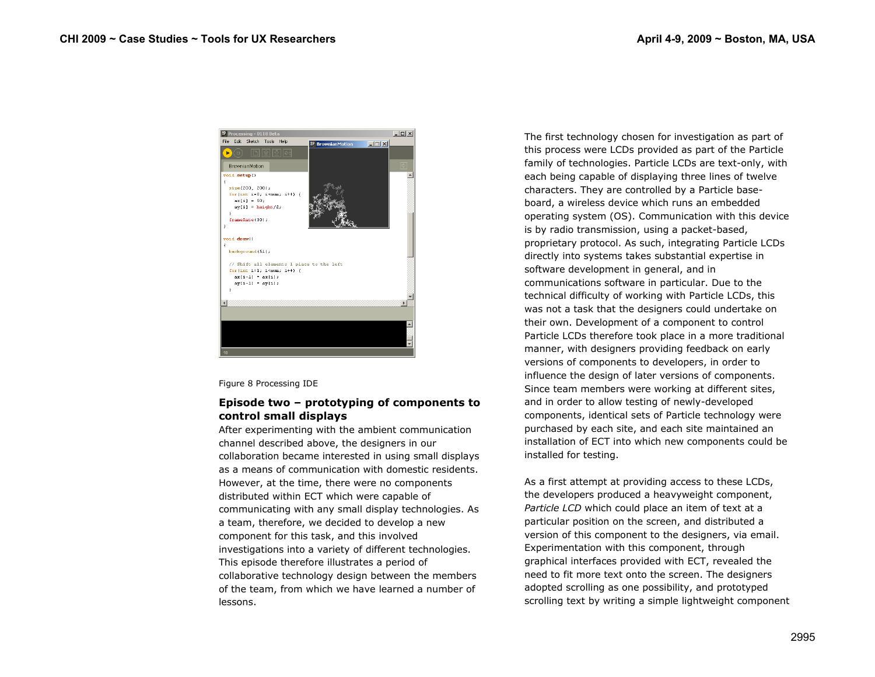

Figure 8 Processing IDE

# **Episode two – prototyping of components to control small displays**

After experimenting with the ambient communication channel described above, the designers in our collaboration became interested in using small displays as a means of communication with domestic residents. However, at the time, there were no components distributed within ECT which were capable of communicating with any small display technologies. As a team, therefore, we decided to develop a new component for this task, and this involved investigations into a variety of different technologies. This episode therefore illustrates a period of collaborative technology design between the members of the team, from which we have learned a number of lessons.

The first technology chosen for investigation as part of this process were LCDs provided as part of the Particle family of technologies. Particle LCDs are text-only, with each being capable of displaying three lines of twelve characters. They are controlled by a Particle baseboard, a wireless device which runs an embedded operating system (OS). Communication with this device is by radio transmission, using a packet-based, proprietary protocol. As such, integrating Particle LCDs directly into systems takes substantial expertise in software development in general, and in communications software in particular. Due to the technical difficulty of working with Particle LCDs, this was not a task that the designers could undertake on their own. Development of a component to control Particle LCDs therefore took place in a more traditional manner, with designers providing feedback on early versions of components to developers, in order to influence the design of later versions of components. Since team members were working at different sites, and in order to allow testing of newly-developed components, identical sets of Particle technology were purchased by each site, and each site maintained an installation of ECT into which new components could be installed for testing.

As a first attempt at providing access to these LCDs, the developers produced a heavyweight component, *Particle LCD* which could place an item of text at a particular position on the screen, and distributed a version of this component to the designers, via email. Experimentation with this component, through graphical interfaces provided with ECT, revealed the need to fit more text onto the screen. The designers adopted scrolling as one possibility, and prototyped scrolling text by writing a simple lightweight component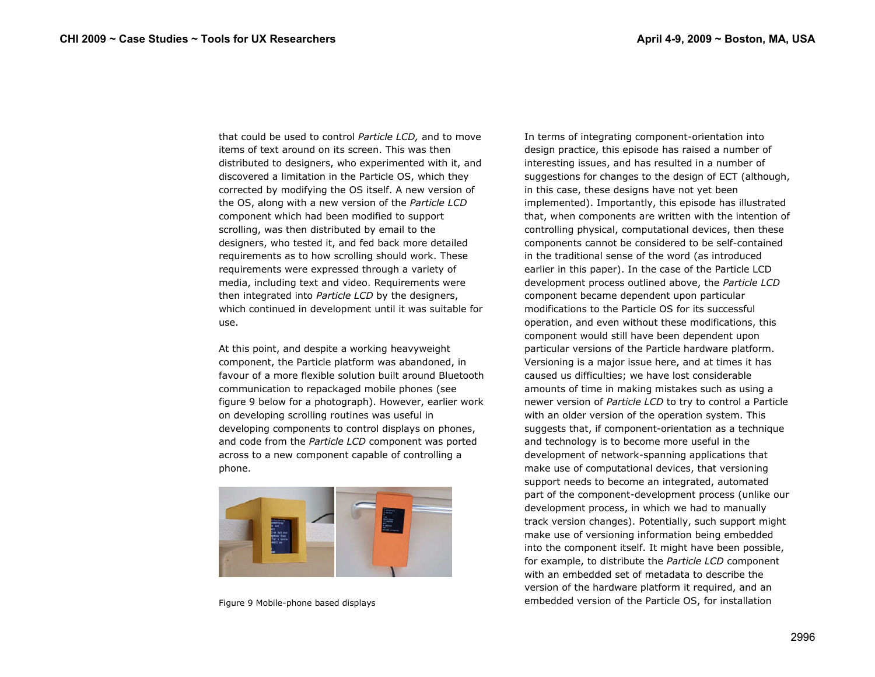that could be used to control *Particle LCD,* and to move items of text around on its screen. This was then distributed to designers, who experimented with it, and discovered a limitation in the Particle OS, which they corrected by modifying the OS itself. A new version of the OS, along with a new version of the *Particle LCD* component which had been modified to support scrolling, was then distributed by email to the designers, who tested it, and fed back more detailed requirements as to how scrolling should work. These requirements were expressed through a variety of media, including text and video. Requirements were then integrated into *Particle LCD* by the designers, which continued in development until it was suitable for use.

At this point, and despite a working heavyweight component, the Particle platform was abandoned, in favour of a more flexible solution built around Bluetooth communication to repackaged mobile phones (see figure 9 below for a photograph). However, earlier work on developing scrolling routines was useful in developing components to control displays on phones, and code from the *Particle LCD* component was ported across to a new component capable of controlling a phone.



Figure 9 Mobile-phone based displays

In terms of integrating component-orientation into design practice, this episode has raised a number of interesting issues, and has resulted in a number of suggestions for changes to the design of ECT (although, in this case, these designs have not yet been implemented). Importantly, this episode has illustrated that, when components are written with the intention of controlling physical, computational devices, then these components cannot be considered to be self-contained in the traditional sense of the word (as introduced earlier in this paper). In the case of the Particle LCD development process outlined above, the *Particle LCD* component became dependent upon particular modifications to the Particle OS for its successful operation, and even without these modifications, this component would still have been dependent upon particular versions of the Particle hardware platform. Versioning is a major issue here, and at times it has caused us difficulties; we have lost considerable amounts of time in making mistakes such as using a newer version of *Particle LCD* to try to control a Particle with an older version of the operation system. This suggests that, if component-orientation as a technique and technology is to become more useful in the development of network-spanning applications that make use of computational devices, that versioning support needs to become an integrated, automated part of the component-development process (unlike our development process, in which we had to manually track version changes). Potentially, such support might make use of versioning information being embedded into the component itself. It might have been possible, for example, to distribute the *Particle LCD* component with an embedded set of metadata to describe the version of the hardware platform it required, and an embedded version of the Particle OS, for installation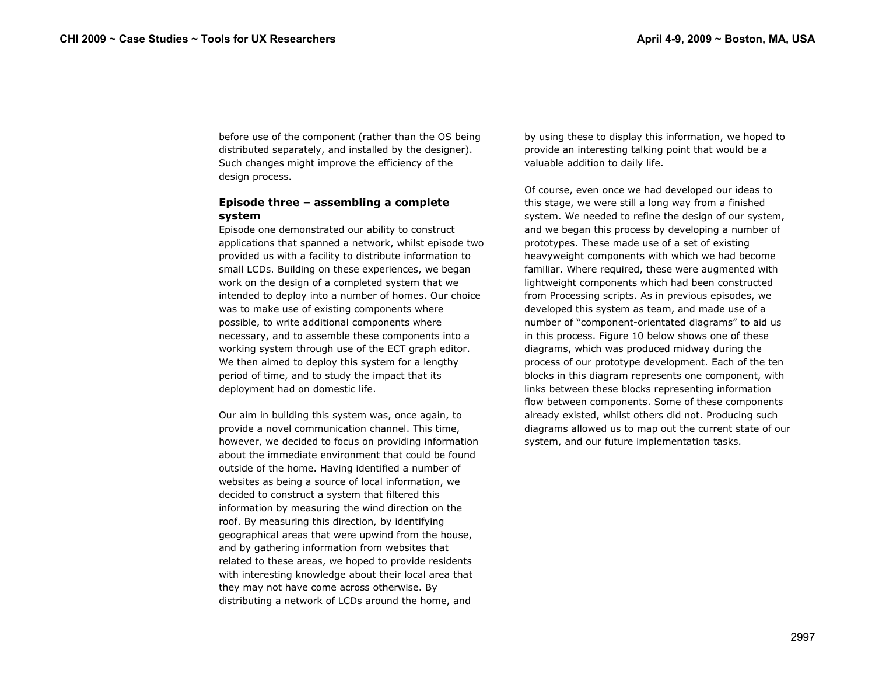before use of the component (rather than the OS being distributed separately, and installed by the designer). Such changes might improve the efficiency of the design process.

# **Episode three – assembling a complete system**

Episode one demonstrated our ability to construct applications that spanned a network, whilst episode two provided us with a facility to distribute information to small LCDs. Building on these experiences, we began work on the design of a completed system that we intended to deploy into a number of homes. Our choice was to make use of existing components where possible, to write additional components where necessary, and to assemble these components into a working system through use of the ECT graph editor. We then aimed to deploy this system for a lengthy period of time, and to study the impact that its deployment had on domestic life.

Our aim in building this system was, once again, to provide a novel communication channel. This time, however, we decided to focus on providing information about the immediate environment that could be found outside of the home. Having identified a number of websites as being a source of local information, we decided to construct a system that filtered this information by measuring the wind direction on the roof. By measuring this direction, by identifying geographical areas that were upwind from the house, and by gathering information from websites that related to these areas, we hoped to provide residents with interesting knowledge about their local area that they may not have come across otherwise. By distributing a network of LCDs around the home, and

by using these to display this information, we hoped to provide an interesting talking point that would be a valuable addition to daily life.

Of course, even once we had developed our ideas to this stage, we were still a long way from a finished system. We needed to refine the design of our system, and we began this process by developing a number of prototypes. These made use of a set of existing heavyweight components with which we had become familiar. Where required, these were augmented with lightweight components which had been constructed from Processing scripts. As in previous episodes, we developed this system as team, and made use of a number of "component-orientated diagrams" to aid us in this process. Figure 10 below shows one of these diagrams, which was produced midway during the process of our prototype development. Each of the ten blocks in this diagram represents one component, with links between these blocks representing information flow between components. Some of these components already existed, whilst others did not. Producing such diagrams allowed us to map out the current state of our system, and our future implementation tasks.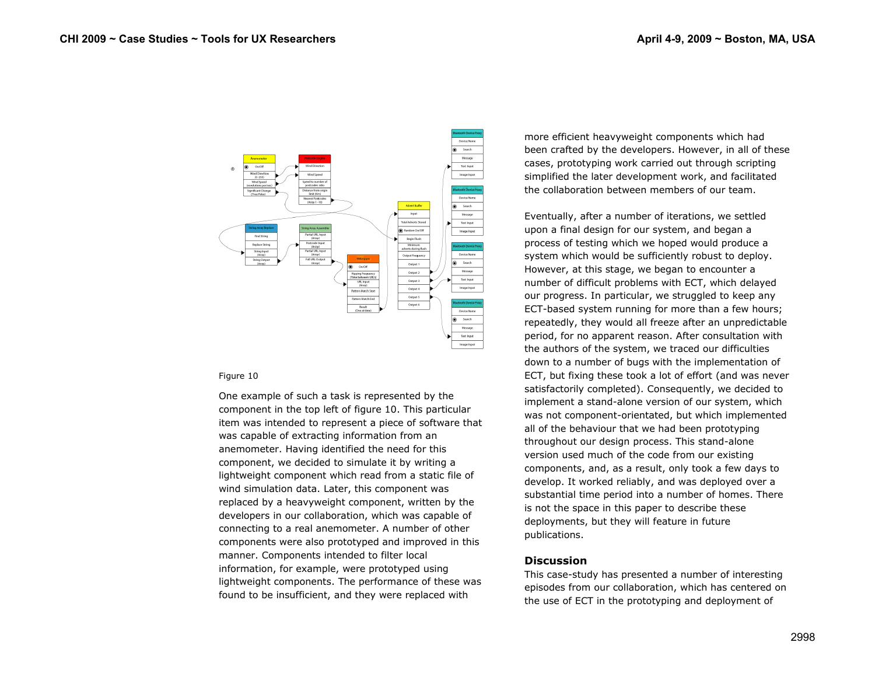

#### Figure 10

One example of such a task is represented by the component in the top left of figure 10. This particular item was intended to represent a piece of software that was capable of extracting information from an anemometer. Having identified the need for this component, we decided to simulate it by writing a lightweight component which read from a static file of wind simulation data. Later, this component was replaced by a heavyweight component, written by the developers in our collaboration, which was capable of connecting to a real anemometer. A number of other components were also prototyped and improved in this manner. Components intended to filter local information, for example, were prototyped using lightweight components. The performance of these was found to be insufficient, and they were replaced with

more efficient heavyweight components which had been crafted by the developers. However, in all of these cases, prototyping work carried out through scripting simplified the later development work, and facilitated the collaboration between members of our team.

Eventually, after a number of iterations, we settled upon a final design for our system, and began a process of testing which we hoped would produce a system which would be sufficiently robust to deploy. However, at this stage, we began to encounter a number of difficult problems with ECT, which delayed our progress. In particular, we struggled to keep any ECT-based system running for more than a few hours; repeatedly, they would all freeze after an unpredictable period, for no apparent reason. After consultation with the authors of the system, we traced our difficulties down to a number of bugs with the implementation of ECT, but fixing these took a lot of effort (and was never satisfactorily completed). Consequently, we decided to implement a stand-alone version of our system, which was not component-orientated, but which implemented all of the behaviour that we had been prototyping throughout our design process. This stand-alone version used much of the code from our existing components, and, as a result, only took a few days to develop. It worked reliably, and was deployed over a substantial time period into a number of homes. There is not the space in this paper to describe these deployments, but they will feature in future publications.

## **Discussion**

This case-study has presented a number of interesting episodes from our collaboration, which has centered on the use of ECT in the prototyping and deployment of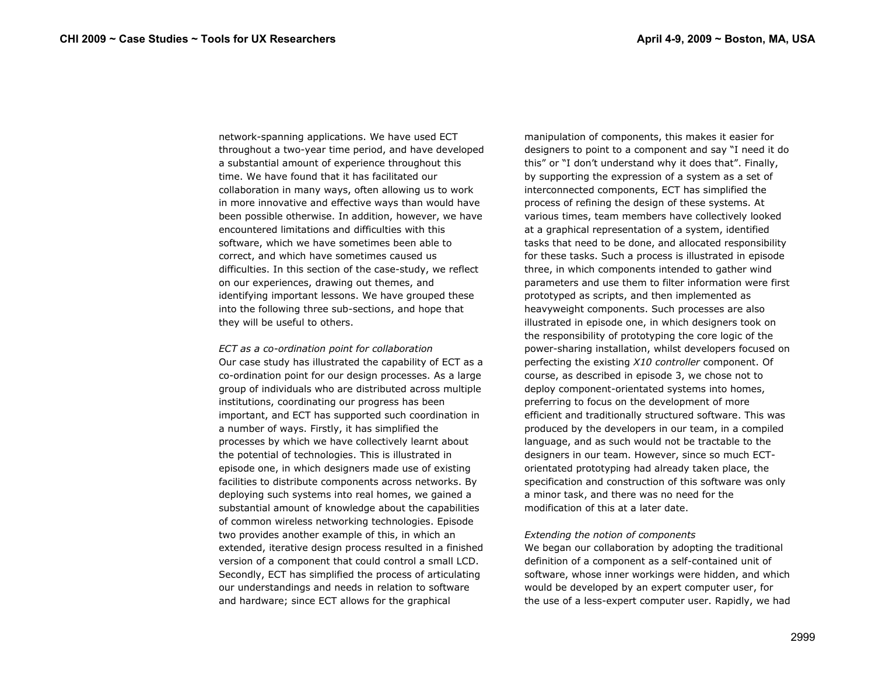network-spanning applications. We have used ECT throughout a two-year time period, and have developed a substantial amount of experience throughout this time. We have found that it has facilitated our collaboration in many ways, often allowing us to work in more innovative and effective ways than would have been possible otherwise. In addition, however, we have encountered limitations and difficulties with this software, which we have sometimes been able to correct, and which have sometimes caused us difficulties. In this section of the case-study, we reflect on our experiences, drawing out themes, and identifying important lessons. We have grouped these into the following three sub-sections, and hope that they will be useful to others.

*ECT as a co-ordination point for collaboration* Our case study has illustrated the capability of ECT as a co-ordination point for our design processes. As a large group of individuals who are distributed across multiple institutions, coordinating our progress has been important, and ECT has supported such coordination in a number of ways. Firstly, it has simplified the processes by which we have collectively learnt about the potential of technologies. This is illustrated in episode one, in which designers made use of existing facilities to distribute components across networks. By deploying such systems into real homes, we gained a substantial amount of knowledge about the capabilities of common wireless networking technologies. Episode two provides another example of this, in which an extended, iterative design process resulted in a finished version of a component that could control a small LCD. Secondly, ECT has simplified the process of articulating our understandings and needs in relation to software and hardware; since ECT allows for the graphical

manipulation of components, this makes it easier for designers to point to a component and say "I need it do this" or "I don't understand why it does that". Finally, by supporting the expression of a system as a set of interconnected components, ECT has simplified the process of refining the design of these systems. At various times, team members have collectively looked at a graphical representation of a system, identified tasks that need to be done, and allocated responsibility for these tasks. Such a process is illustrated in episode three, in which components intended to gather wind parameters and use them to filter information were first prototyped as scripts, and then implemented as heavyweight components. Such processes are also illustrated in episode one, in which designers took on the responsibility of prototyping the core logic of the power-sharing installation, whilst developers focused on perfecting the existing *X10 controller* component. Of course, as described in episode 3, we chose not to deploy component-orientated systems into homes, preferring to focus on the development of more efficient and traditionally structured software. This was produced by the developers in our team, in a compiled language, and as such would not be tractable to the designers in our team. However, since so much ECTorientated prototyping had already taken place, the specification and construction of this software was only a minor task, and there was no need for the modification of this at a later date.

## *Extending the notion of components*

We began our collaboration by adopting the traditional definition of a component as a self-contained unit of software, whose inner workings were hidden, and which would be developed by an expert computer user, for the use of a less-expert computer user. Rapidly, we had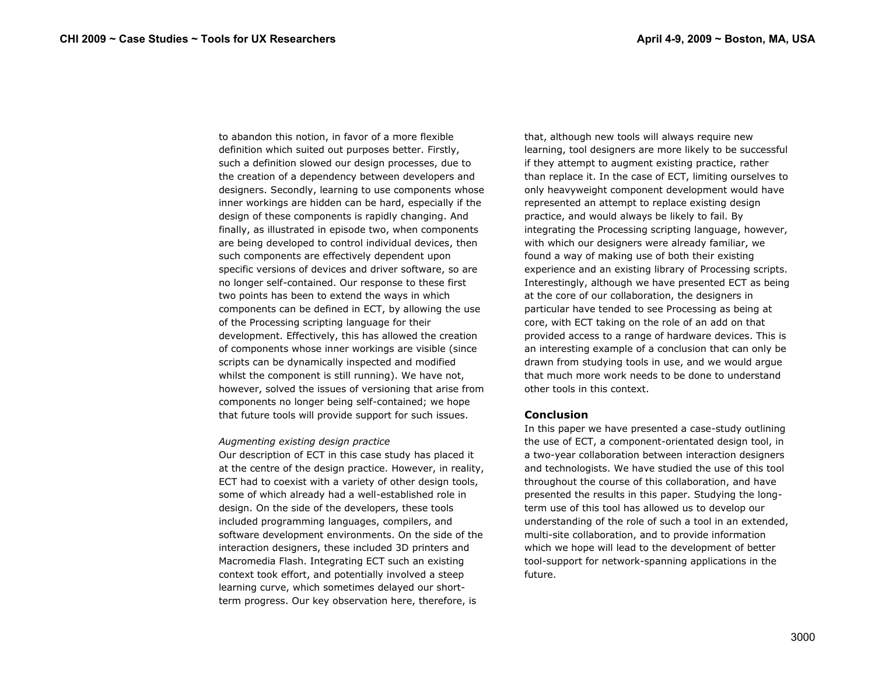to abandon this notion, in favor of a more flexible definition which suited out purposes better. Firstly, such a definition slowed our design processes, due to the creation of a dependency between developers and designers. Secondly, learning to use components whose inner workings are hidden can be hard, especially if the design of these components is rapidly changing. And finally, as illustrated in episode two, when components are being developed to control individual devices, then such components are effectively dependent upon specific versions of devices and driver software, so are no longer self-contained. Our response to these first two points has been to extend the ways in which components can be defined in ECT, by allowing the use of the Processing scripting language for their development. Effectively, this has allowed the creation of components whose inner workings are visible (since scripts can be dynamically inspected and modified whilst the component is still running). We have not, however, solved the issues of versioning that arise from components no longer being self-contained; we hope that future tools will provide support for such issues.

### *Augmenting existing design practice*

Our description of ECT in this case study has placed it at the centre of the design practice. However, in reality, ECT had to coexist with a variety of other design tools, some of which already had a well-established role in design. On the side of the developers, these tools included programming languages, compilers, and software development environments. On the side of the interaction designers, these included 3D printers and Macromedia Flash. Integrating ECT such an existing context took effort, and potentially involved a steep learning curve, which sometimes delayed our shortterm progress. Our key observation here, therefore, is

that, although new tools will always require new learning, tool designers are more likely to be successful if they attempt to augment existing practice, rather than replace it. In the case of ECT, limiting ourselves to only heavyweight component development would have represented an attempt to replace existing design practice, and would always be likely to fail. By integrating the Processing scripting language, however, with which our designers were already familiar, we found a way of making use of both their existing experience and an existing library of Processing scripts. Interestingly, although we have presented ECT as being at the core of our collaboration, the designers in particular have tended to see Processing as being at core, with ECT taking on the role of an add on that provided access to a range of hardware devices. This is an interesting example of a conclusion that can only be drawn from studying tools in use, and we would argue that much more work needs to be done to understand other tools in this context.

## **Conclusion**

In this paper we have presented a case-study outlining the use of ECT, a component-orientated design tool, in a two-year collaboration between interaction designers and technologists. We have studied the use of this tool throughout the course of this collaboration, and have presented the results in this paper. Studying the longterm use of this tool has allowed us to develop our understanding of the role of such a tool in an extended, multi-site collaboration, and to provide information which we hope will lead to the development of better tool-support for network-spanning applications in the future.